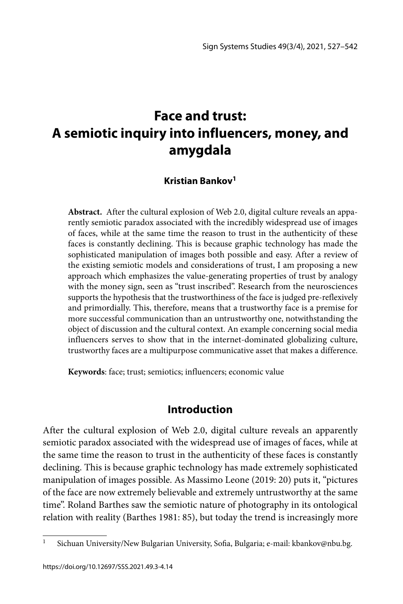# **Face and trust: A semiotic inquiry into influencers, money, and amygdala**

#### **Kristian Bankov1**

**Abstract.** After the cultural explosion of Web 2.0, digital culture reveals an apparently semiotic paradox associated with the incredibly widespread use of images of faces, while at the same time the reason to trust in the authenticity of these faces is constantly declining. This is because graphic technology has made the sophisticated manipulation of images both possible and easy. After a review of the existing semiotic models and considerations of trust, I am proposing a new approach which emphasizes the value-generating properties of trust by analogy with the money sign, seen as "trust inscribed". Research from the neurosciences supports the hypothesis that the trustworthiness of the face is judged pre-reflexively and primordially. This, therefore, means that a trustworthy face is a premise for more successful communication than an untrustworthy one, notwithstanding the object of discussion and the cultural context. An example concerning social media influencers serves to show that in the internet-dominated globalizing culture, trustworthy faces are a multipurpose communicative asset that makes a difference.

**Keywords**: face; trust; semiotics; influencers; economic value

#### **Introduction**

After the cultural explosion of Web 2.0, digital culture reveals an apparently semiotic paradox associated with the widespread use of images of faces, while at the same time the reason to trust in the authenticity of these faces is constantly declining. This is because graphic technology has made extremely sophisticated manipulation of images possible. As Massimo Leone (2019: 20) puts it, "pictures of the face are now extremely believable and extremely untrustworthy at the same time". Roland Barthes saw the semiotic nature of photography in its ontological relation with reality (Barthes 1981: 85), but today the trend is increasingly more

<sup>&</sup>lt;sup>1</sup> Sichuan University/New Bulgarian University, Sofia, Bulgaria; e-mail: kbankov@nbu.bg.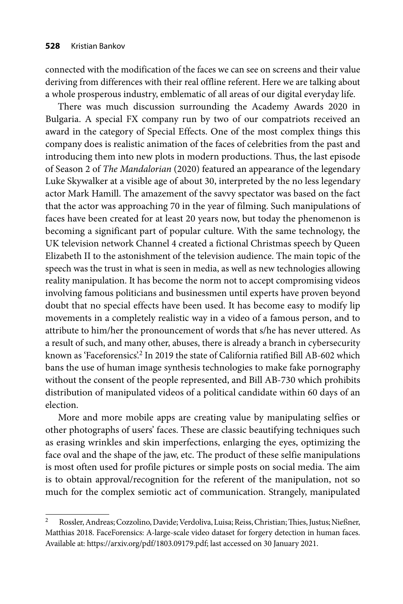connected with the modification of the faces we can see on screens and their value deriving from differences with their real offline referent. Here we are talking about a whole prosperous industry, emblematic of all areas of our digital everyday life.

There was much discussion surrounding the Academy Awards 2020 in Bulgaria. A special FX company run by two of our compatriots received an award in the category of Special Effects. One of the most complex things this company does is realistic animation of the faces of celebrities from the past and introducing them into new plots in modern productions. Thus, the last episode of Season 2 of *The Mandalorian* (2020) featured an appearance of the legendary Luke Skywalker at a visible age of about 30, interpreted by the no less legendary actor Mark Hamill. The amazement of the savvy spectator was based on the fact that the actor was approaching 70 in the year of filming. Such manipulations of faces have been created for at least 20 years now, but today the phenomenon is becoming a significant part of popular culture. With the same technology, the UK television network Channel 4 created a fictional Christmas speech by Queen Elizabeth II to the astonishment of the television audience. The main topic of the speech was the trust in what is seen in media, as well as new technologies allowing reality manipulation. It has become the norm not to accept compromising videos involving famous politicians and businessmen until experts have proven beyond doubt that no special effects have been used. It has become easy to modify lip movements in a completely realistic way in a video of a famous person, and to attribute to him/her the pronouncement of words that s/he has never uttered. As a result of such, and many other, abuses, there is already a branch in cybersecurity known as 'Faceforensics'.2 In 2019 the state of California ratified Bill AB-602 which bans the use of human image synthesis technologies to make fake pornography without the consent of the people represented, and Bill AB-730 which prohibits distribution of manipulated videos of a political candidate within 60 days of an election.

More and more mobile apps are creating value by manipulating selfies or other photographs of users' faces. These are classic beautifying techniques such as erasing wrinkles and skin imperfections, enlarging the eyes, optimizing the face oval and the shape of the jaw, etc. The product of these selfie manipulations is most often used for profile pictures or simple posts on social media. The aim is to obtain approval/recognition for the referent of the manipulation, not so much for the complex semiotic act of communication. Strangely, manipulated

<sup>&</sup>lt;sup>2</sup> Rossler, Andreas; Cozzolino, Davide; Verdoliva, Luisa; Reiss, Christian; Thies, Justus; Nießner, Matthias 2018. FaceForensics: A-large-scale video dataset for forgery detection in human faces. Available at: https://arxiv.org/pdf/1803.09179.pdf; last accessed on 30 January 2021.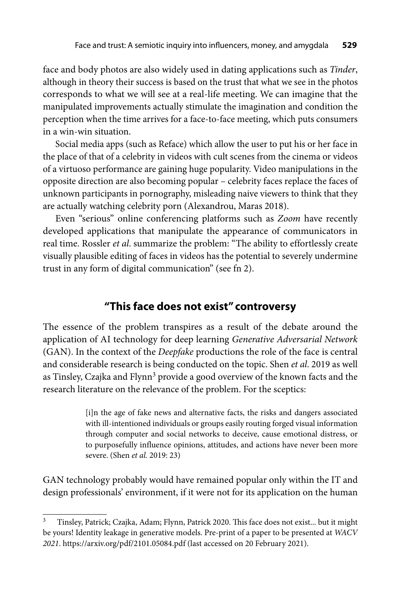face and body photos are also widely used in dating applications such as *Tinder*, although in theory their success is based on the trust that what we see in the photos corresponds to what we will see at a real-life meeting. We can imagine that the manipulated improvements actually stimulate the imagination and condition the perception when the time arrives for a face-to-face meeting, which puts consumers in a win-win situation.

Social media apps (such as Reface) which allow the user to put his or her face in the place of that of a celebrity in videos with cult scenes from the cinema or videos of a virtuoso performance are gaining huge popularity. Video manipulations in the opposite direction are also becoming popular – celebrity faces replace the faces of unknown participants in pornography, misleading naive viewers to think that they are actually watching celebrity porn (Alexandrou, Maras 2018).

Even "serious" online conferencing platforms such as *Zoom* have recently developed applications that manipulate the appearance of communicators in real time. Rossler *et al*. summarize the problem: "The ability to effortlessly create visually plausible editing of faces in videos has the potential to severely undermine trust in any form of digital communication" (see fn 2).

## **"This face does not exist" controversy**

The essence of the problem transpires as a result of the debate around the application of AI technology for deep learning *Generative Adversarial Network* (GAN). In the context of the *Deepfake* productions the role of the face is central and considerable research is being conducted on the topic. Shen *et al*. 2019 as well as Tinsley, Czajka and Flynn<sup>3</sup> provide a good overview of the known facts and the research literature on the relevance of the problem. For the sceptics:

> [i]n the age of fake news and alternative facts, the risks and dangers associated with ill-intentioned individuals or groups easily routing forged visual information through computer and social networks to deceive, cause emotional distress, or to purposefully influence opinions, attitudes, and actions have never been more severe. (Shen *et al.* 2019: 23)

GAN technology probably would have remained popular only within the IT and design professionals' environment, if it were not for its application on the human

<sup>&</sup>lt;sup>3</sup> Tinsley, Patrick; Czajka, Adam; Flynn, Patrick 2020. This face does not exist... but it might be yours! Identity leakage in generative models. Pre-print of a paper to be presented at *WACV 2021*. https://arxiv.org/pdf/2101.05084.pdf (last accessed on 20 February 2021).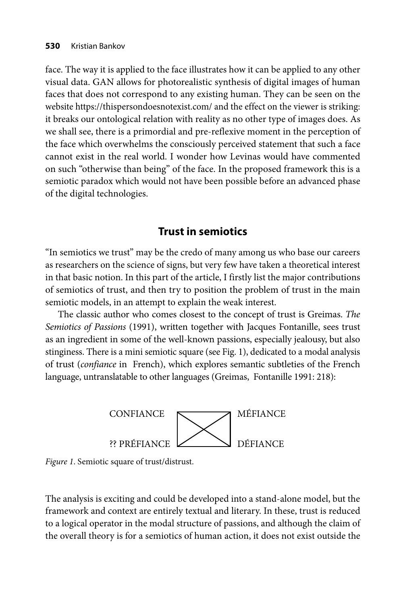face. The way it is applied to the face illustrates how it can be applied to any other visual data. GAN allows for photorealistic synthesis of digital images of human faces that does not correspond to any existing human. They can be seen on the website https://thispersondoesnotexist.com/ and the effect on the viewer is striking: it breaks our ontological relation with reality as no other type of images does. As we shall see, there is a primordial and pre-reflexive moment in the perception of the face which overwhelms the consciously perceived statement that such a face cannot exist in the real world. I wonder how Levinas would have commented on such "otherwise than being" of the face. In the proposed framework this is a semiotic paradox which would not have been possible before an advanced phase of the digital technologies.

### **Trust in semiotics**

"In semiotics we trust" may be the credo of many among us who base our careers as researchers on the science of signs, but very few have taken a theoretical interest in that basic notion. In this part of the article, I firstly list the major contributions of semiotics of trust, and then try to position the problem of trust in the main semiotic models, in an attempt to explain the weak interest.

The classic author who comes closest to the concept of trust is Greimas. *The Semiotics of Passions* (1991), written together with Jacques Fontanille, sees trust as an ingredient in some of the well-known passions, especially jealousy, but also stinginess. There is a mini semiotic square (see Fig. 1), dedicated to a modal analysis of trust (*confiance* in French), which explores semantic subtleties of the French language, untranslatable to other languages (Greimas, Fontanille 1991: 218):



*Figure 1*. Semiotic square of trust/distrust.

The analysis is exciting and could be developed into a stand-alone model, but the framework and context are entirely textual and literary. In these, trust is reduced to a logical operator in the modal structure of passions, and although the claim of the overall theory is for a semiotics of human action, it does not exist outside the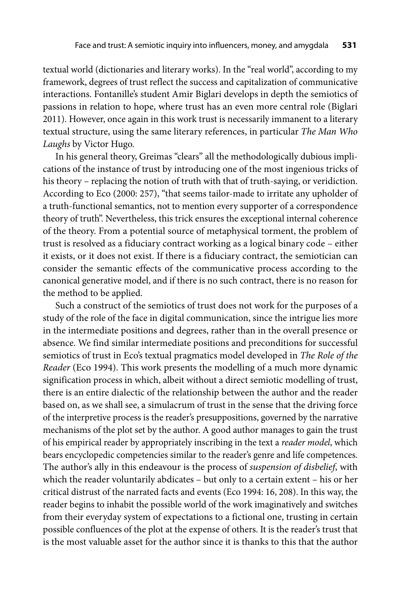textual world (dictionaries and literary works). In the "real world", according to my framework, degrees of trust reflect the success and capitalization of communicative interactions. Fontanille's student Amir Biglari develops in depth the semiotics of passions in relation to hope, where trust has an even more central role (Biglari 2011). However, once again in this work trust is necessarily immanent to a literary textual structure, using the same literary references, in particular *The Man Who Laughs* by Victor Hugo.

In his general theory, Greimas "clears" all the methodologically dubious implications of the instance of trust by introducing one of the most ingenious tricks of his theory – replacing the notion of truth with that of truth-saying, or veridiction. According to Eco (2000: 257), "that seems tailor-made to irritate any upholder of a truth-functional semantics, not to mention every supporter of a correspondence theory of truth". Nevertheless, this trick ensures the exceptional internal coherence of the theory. From a potential source of metaphysical torment, the problem of trust is resolved as a fiduciary contract working as a logical binary code – either it exists, or it does not exist. If there is a fiduciary contract, the semiotician can consider the semantic effects of the communicative process according to the canonical generative model, and if there is no such contract, there is no reason for the method to be applied.

Such a construct of the semiotics of trust does not work for the purposes of a study of the role of the face in digital communication, since the intrigue lies more in the intermediate positions and degrees, rather than in the overall presence or absence. We find similar intermediate positions and preconditions for successful semiotics of trust in Eco's textual pragmatics model developed in *The Role of the Reader* (Eco 1994). This work presents the modelling of a much more dynamic signification process in which, albeit without a direct semiotic modelling of trust, there is an entire dialectic of the relationship between the author and the reader based on, as we shall see, a simulacrum of trust in the sense that the driving force of the interpretive process is the reader's presuppositions, governed by the narrative mechanisms of the plot set by the author. A good author manages to gain the trust of his empirical reader by appropriately inscribing in the text a *reader model*, which bears encyclopedic competencies similar to the reader's genre and life competences. The author's ally in this endeavour is the process of *suspension of disbelief*, with which the reader voluntarily abdicates – but only to a certain extent – his or her critical distrust of the narrated facts and events (Eco 1994: 16, 208). In this way, the reader begins to inhabit the possible world of the work imaginatively and switches from their everyday system of expectations to a fictional one, trusting in certain possible confluences of the plot at the expense of others. It is the reader's trust that is the most valuable asset for the author since it is thanks to this that the author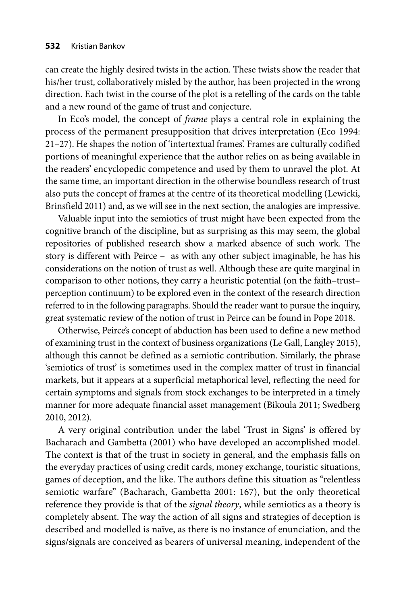can create the highly desired twists in the action. These twists show the reader that his/her trust, collaboratively misled by the author, has been projected in the wrong direction. Each twist in the course of the plot is a retelling of the cards on the table and a new round of the game of trust and conjecture.

In Eco's model, the concept of *frame* plays a central role in explaining the process of the permanent presupposition that drives interpretation (Eco 1994: 21–27). He shapes the notion of 'intertextual frames'. Frames are culturally codified portions of meaningful experience that the author relies on as being available in the readers' encyclopedic competence and used by them to unravel the plot. At the same time, an important direction in the otherwise boundless research of trust also puts the concept of frames at the centre of its theoretical modelling (Lewicki, Brinsfield 2011) and, as we will see in the next section, the analogies are impressive.

Valuable input into the semiotics of trust might have been expected from the cognitive branch of the discipline, but as surprising as this may seem, the global repositories of published research show a marked absence of such work. The story is different with Peirce – as with any other subject imaginable, he has his considerations on the notion of trust as well. Although these are quite marginal in comparison to other notions, they carry a heuristic potential (on the faith–trust– perception continuum) to be explored even in the context of the research direction referred to in the following paragraphs. Should the reader want to pursue the inquiry, great systematic review of the notion of trust in Peirce can be found in Pope 2018.

Otherwise, Peirce's concept of abduction has been used to define a new method of examining trust in the context of business organizations (Le Gall, Langley 2015), although this cannot be defined as a semiotic contribution. Similarly, the phrase 'semiotics of trust' is sometimes used in the complex matter of trust in financial markets, but it appears at a superficial metaphorical level, reflecting the need for certain symptoms and signals from stock exchanges to be interpreted in a timely manner for more adequate financial asset management (Bikoula 2011; Swedberg 2010, 2012).

A very original contribution under the label 'Trust in Signs' is offered by Bacharach and Gambetta (2001) who have developed an accomplished model. The context is that of the trust in society in general, and the emphasis falls on the everyday practices of using credit cards, money exchange, touristic situations, games of deception, and the like. The authors define this situation as "relentless semiotic warfare" (Bacharach, Gambetta 2001: 167), but the only theoretical reference they provide is that of the *signal theory*, while semiotics as a theory is completely absent. The way the action of all signs and strategies of deception is described and modelled is naïve, as there is no instance of enunciation, and the signs/signals are conceived as bearers of universal meaning, independent of the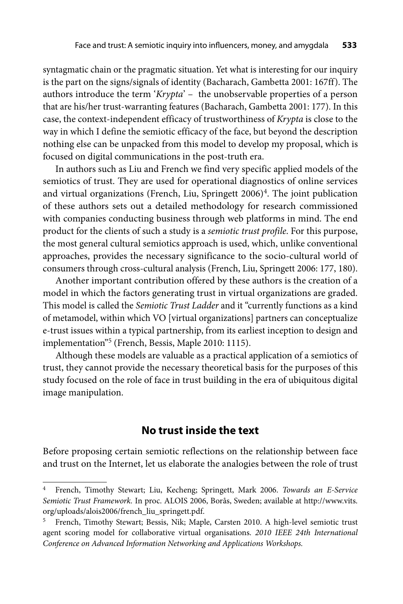syntagmatic chain or the pragmatic situation. Yet what is interesting for our inquiry is the part on the signs/signals of identity (Bacharach, Gambetta 2001: 167ff). The authors introduce the term '*Krypta*' – the unobservable properties of a person that are his/her trust-warranting features (Bacharach, Gambetta 2001: 177). In this case, the context-independent efficacy of trustworthiness of *Krypta* is close to the way in which I define the semiotic efficacy of the face, but beyond the description nothing else can be unpacked from this model to develop my proposal, which is focused on digital communications in the post-truth era.

In authors such as Liu and French we find very specific applied models of the semiotics of trust. They are used for operational diagnostics of online services and virtual organizations (French, Liu, Springett 2006)<sup>4</sup>. The joint publication of these authors sets out a detailed methodology for research commissioned with companies conducting business through web platforms in mind. The end product for the clients of such a study is a *semiotic trust profile*. For this purpose, the most general cultural semiotics approach is used, which, unlike conventional approaches, provides the necessary significance to the socio-cultural world of consumers through cross-cultural analysis (French, Liu, Springett 2006: 177, 180).

Another important contribution offered by these authors is the creation of a model in which the factors generating trust in virtual organizations are graded. This model is called the *Semiotic Trust Ladder* and it "currently functions as a kind of metamodel, within which VO [virtual organizations] partners can conceptualize e-trust issues within a typical partnership, from its earliest inception to design and implementation"5 (French, Bessis, Maple 2010: 1115).

Although these models are valuable as a practical application of a semiotics of trust, they cannot provide the necessary theoretical basis for the purposes of this study focused on the role of face in trust building in the era of ubiquitous digital image manipulation.

### **No trust inside the text**

Before proposing certain semiotic reflections on the relationship between face and trust on the Internet, let us elaborate the analogies between the role of trust

<sup>4</sup> French, Timothy Stewart; Liu, Kecheng; Springett, Mark 2006. *Towards an E-Service Semiotic Trust Framework.* In proc. ALOIS 2006, Borås, Sweden; available at [http://www.vits.](http://www.vits.org/uploads/alois2006/french_liu_springett.pdf) [org/uploads/alois2006/french\\_liu\\_springett.pdf](http://www.vits.org/uploads/alois2006/french_liu_springett.pdf).

<sup>5</sup> French, Timothy Stewart; Bessis, Nik; Maple, Carsten 2010. A high-level semiotic trust agent scoring model for collaborative virtual organisations. *2010 IEEE 24th International Conference on Advanced Information Networking and Applications Workshops.*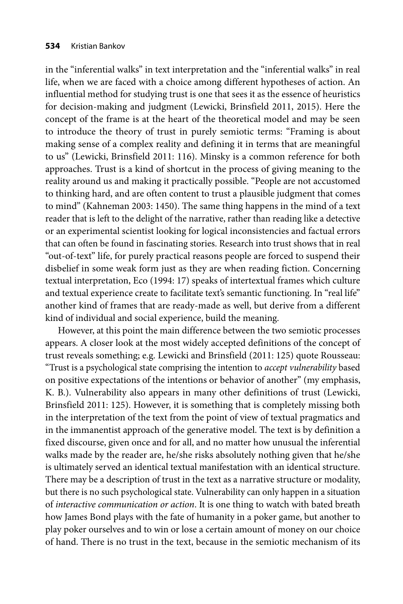in the "inferential walks" in text interpretation and the "inferential walks" in real life, when we are faced with a choice among different hypotheses of action. An influential method for studying trust is one that sees it as the essence of heuristics for decision-making and judgment (Lewicki, Brinsfield 2011, 2015). Here the concept of the frame is at the heart of the theoretical model and may be seen to introduce the theory of trust in purely semiotic terms: "Framing is about making sense of a complex reality and defining it in terms that are meaningful to us" (Lewicki, Brinsfield 2011: 116). Minsky is a common reference for both approaches. Trust is a kind of shortcut in the process of giving meaning to the reality around us and making it practically possible. "People are not accustomed to thinking hard, and are often content to trust a plausible judgment that comes to mind" (Kahneman 2003: 1450). The same thing happens in the mind of a text reader that is left to the delight of the narrative, rather than reading like a detective or an experimental scientist looking for logical inconsistencies and factual errors that can often be found in fascinating stories. Research into trust shows that in real "out-of-text" life, for purely practical reasons people are forced to suspend their disbelief in some weak form just as they are when reading fiction. Concerning textual interpretation, Eco (1994: 17) speaks of intertextual frames which culture and textual experience create to facilitate text's semantic functioning. In "real life" another kind of frames that are ready-made as well, but derive from a different kind of individual and social experience, build the meaning.

However, at this point the main difference between the two semiotic processes appears. A closer look at the most widely accepted definitions of the concept of trust reveals something; e.g. Lewicki and Brinsfield (2011: 125) quote Rousseau: "Trust is a psychological state comprising the intention to *accept vulnerability* based on positive expectations of the intentions or behavior of another" (my emphasis, K. B.). Vulnerability also appears in many other definitions of trust (Lewicki, Brinsfield 2011: 125). However, it is something that is completely missing both in the interpretation of the text from the point of view of textual pragmatics and in the immanentist approach of the generative model. The text is by definition a fixed discourse, given once and for all, and no matter how unusual the inferential walks made by the reader are, he/she risks absolutely nothing given that he/she is ultimately served an identical textual manifestation with an identical structure. There may be a description of trust in the text as a narrative structure or modality, but there is no such psychological state. Vulnerability can only happen in a situation of *interactive communication or action*. It is one thing to watch with bated breath how James Bond plays with the fate of humanity in a poker game, but another to play poker ourselves and to win or lose a certain amount of money on our choice of hand. There is no trust in the text, because in the semiotic mechanism of its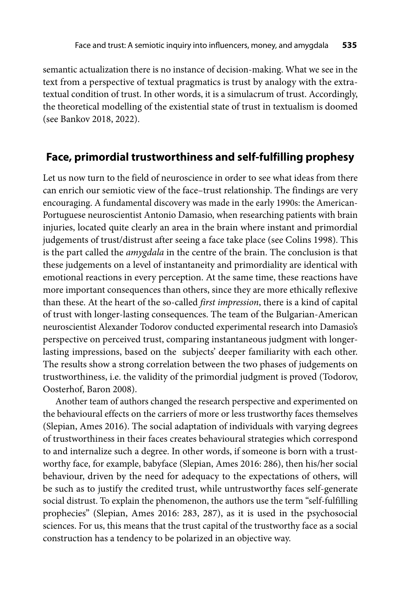semantic actualization there is no instance of decision-making. What we see in the text from a perspective of textual pragmatics is trust by analogy with the extratextual condition of trust. In other words, it is a simulacrum of trust. Accordingly, the theoretical modelling of the existential state of trust in textualism is doomed (see Bankov 2018, 2022).

### **Face, primordial trustworthiness and self-fulfilling prophesy**

Let us now turn to the field of neuroscience in order to see what ideas from there can enrich our semiotic view of the face–trust relationship. The findings are very encouraging. A fundamental discovery was made in the early 1990s: the American-Portuguese neuroscientist Antonio Damasio, when researching patients with brain injuries, located quite clearly an area in the brain where instant and primordial judgements of trust/distrust after seeing a face take place (see Colins 1998). This is the part called the *amygdala* in the centre of the brain. The conclusion is that these judgements on a level of instantaneity and primordiality are identical with emotional reactions in every perception. At the same time, these reactions have more important consequences than others, since they are more ethically reflexive than these. At the heart of the so-called *first impression*, there is a kind of capital of trust with longer-lasting consequences. The team of the Bulgarian-American neuroscientist Alexander Todorov conducted experimental research into Damasio's perspective on perceived trust, comparing instantaneous judgment with longerlasting impressions, based on the subjects' deeper familiarity with each other. The results show a strong correlation between the two phases of judgements on trustworthiness, i.e. the validity of the primordial judgment is proved (Todorov, Oosterhof, Baron 2008).

Another team of authors changed the research perspective and experimented on the behavioural effects on the carriers of more or less trustworthy faces themselves (Slepian, Ames 2016). The social adaptation of individuals with varying degrees of trustworthiness in their faces creates behavioural strategies which correspond to and internalize such a degree. In other words, if someone is born with a trustworthy face, for example, babyface (Slepian, Ames 2016: 286), then his/her social behaviour, driven by the need for adequacy to the expectations of others, will be such as to justify the credited trust, while untrustworthy faces self-generate social distrust. To explain the phenomenon, the authors use the term "self-fulfilling prophecies" (Slepian, Ames 2016: 283, 287), as it is used in the psychosocial sciences. For us, this means that the trust capital of the trustworthy face as a social construction has a tendency to be polarized in an objective way.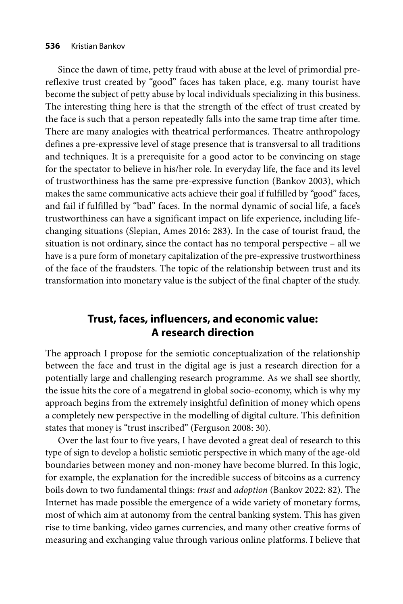#### **536** Kristian Bankov

Since the dawn of time, petty fraud with abuse at the level of primordial prereflexive trust created by "good" faces has taken place, e.g. many tourist have become the subject of petty abuse by local individuals specializing in this business. The interesting thing here is that the strength of the effect of trust created by the face is such that a person repeatedly falls into the same trap time after time. There are many analogies with theatrical performances. Theatre anthropology defines a pre-expressive level of stage presence that is transversal to all traditions and techniques. It is a prerequisite for a good actor to be convincing on stage for the spectator to believe in his/her role. In everyday life, the face and its level of trustworthiness has the same pre-expressive function (Bankov 2003), which makes the same communicative acts achieve their goal if fulfilled by "good" faces, and fail if fulfilled by "bad" faces. In the normal dynamic of social life, a face's trustworthiness can have a significant impact on life experience, including lifechanging situations (Slepian, Ames 2016: 283). In the case of tourist fraud, the situation is not ordinary, since the contact has no temporal perspective – all we have is a pure form of monetary capitalization of the pre-expressive trustworthiness of the face of the fraudsters. The topic of the relationship between trust and its transformation into monetary value is the subject of the final chapter of the study.

### **Trust, faces, influencers, and economic value: A research direction**

The approach I propose for the semiotic conceptualization of the relationship between the face and trust in the digital age is just a research direction for a potentially large and challenging research programme. As we shall see shortly, the issue hits the core of a megatrend in global socio-economy, which is why my approach begins from the extremely insightful definition of money which opens a completely new perspective in the modelling of digital culture. This definition states that money is "trust inscribed" (Ferguson 2008: 30).

Over the last four to five years, I have devoted a great deal of research to this type of sign to develop a holistic semiotic perspective in which many of the age-old boundaries between money and non-money have become blurred. In this logic, for example, the explanation for the incredible success of bitcoins as a currency boils down to two fundamental things: *trust* and *adoption* (Bankov 2022: 82). The Internet has made possible the emergence of a wide variety of monetary forms, most of which aim at autonomy from the central banking system. This has given rise to time banking, video games currencies, and many other creative forms of measuring and exchanging value through various online platforms. I believe that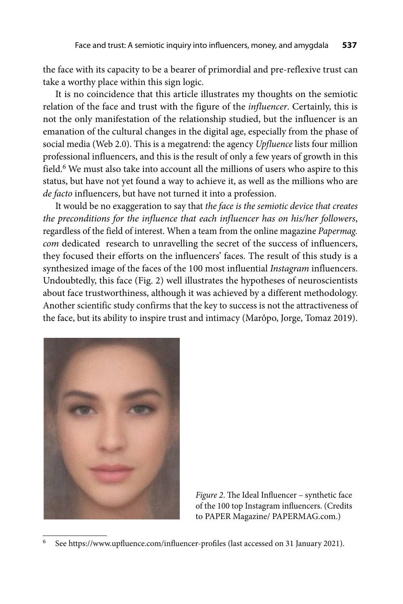the face with its capacity to be a bearer of primordial and pre-reflexive trust can take a worthy place within this sign logic.

It is no coincidence that this article illustrates my thoughts on the semiotic relation of the face and trust with the figure of the *influencer*. Certainly, this is not the only manifestation of the relationship studied, but the influencer is an emanation of the cultural changes in the digital age, especially from the phase of social media (Web 2.0). This is a megatrend: the agency *Upfluence* lists four million professional influencers, and this is the result of only a few years of growth in this field.<sup>6</sup> We must also take into account all the millions of users who aspire to this status, but have not yet found a way to achieve it, as well as the millions who are *de facto* influencers, but have not turned it into a profession.

It would be no exaggeration to say that *the face is the semiotic device that creates the preconditions for the influence that each influencer has on his/her followers*, regard less of the field of interest. When a team from the online magazine *Papermag. com* dedicated research to unravelling the secret of the success of influencers, they focused their efforts on the influencers' faces. The result of this study is a synthesized image of the faces of the 100 most influential *Instagram* influencers. Undoubtedly, this face (Fig. 2) well illustrates the hypotheses of neuroscientists about face trustworthiness, although it was achieved by a different methodology. Another scientific study confirms that the key to success is not the attractiveness of the face, but its ability to inspire trust and intimacy (Marôpo, Jorge, Tomaz 2019).



*Figure 2*. The Ideal Influencer – synthetic face of the 100 top Instagram influencers. (Credits to PAPER Magazine/ PAPERMAG.com.)

See https://www.upfluence.com/influencer-profiles (last accessed on 31 January 2021).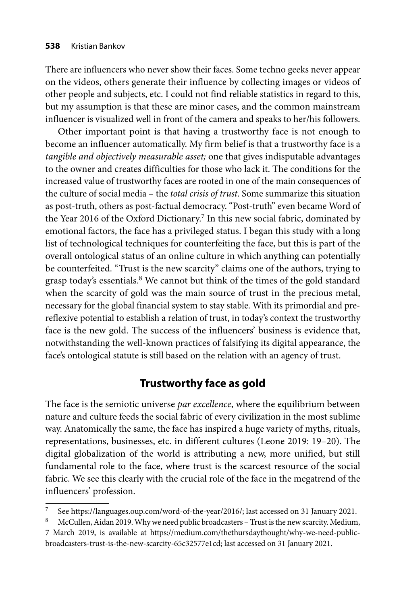There are influencers who never show their faces. Some techno geeks never appear on the videos, others generate their influence by collecting images or videos of other people and subjects, etc. I could not find reliable statistics in regard to this, but my assumption is that these are minor cases, and the common mainstream influencer is visualized well in front of the camera and speaks to her/his followers.

Other important point is that having a trustworthy face is not enough to become an influencer automatically. My firm belief is that a trustworthy face is a *tangible and objectively measurable asset;* one that gives indisputable advantages to the owner and creates difficulties for those who lack it. The conditions for the increased value of trustworthy faces are rooted in one of the main consequences of the culture of social media – the *total crisis of trust*. Some summarize this situation as post-truth, others as post-factual democracy. "Post-truth" even became Word of the Year 2016 of the Oxford Dictionary.<sup>7</sup> In this new social fabric, dominated by emotional factors, the face has a privileged status. I began this study with a long list of technological techniques for counterfeiting the face, but this is part of the overall ontological status of an online culture in which anything can potentially be counterfeited. "Trust is the new scarcity" claims one of the authors, trying to grasp today's essentials.<sup>8</sup> We cannot but think of the times of the gold standard when the scarcity of gold was the main source of trust in the precious metal, necessary for the global financial system to stay stable. With its primordial and prereflexive potential to establish a relation of trust, in today's context the trustworthy face is the new gold. The success of the influencers' business is evidence that, notwithstanding the well-known practices of falsifying its digital appearance, the face's ontological statute is still based on the relation with an agency of trust.

### **Trustworthy face as gold**

The face is the semiotic universe *par excellence*, where the equilibrium between nature and culture feeds the social fabric of every civilization in the most sublime way. Anatomically the same, the face has inspired a huge variety of myths, rituals, representations, businesses, etc. in different cultures (Leone 2019: 19–20). The digital globalization of the world is attributing a new, more unified, but still fundamental role to the face, where trust is the scarcest resource of the social fabric. We see this clearly with the crucial role of the face in the megatrend of the influencers' profession.

See https://languages.oup.com/word-of-the-year/2016/; last accessed on 31 January 2021.

<sup>8</sup> McCullen, Aidan 2019. Why we need public broadcasters – Trust is the new scarcity. Medium,

<sup>7</sup> March 2019, is available at https://medium.com/thethursdaythought/why-we-need-publicbroadcasters-trust-is-the-new-scarcity-65c32577e1cd; last accessed on 31 January 2021.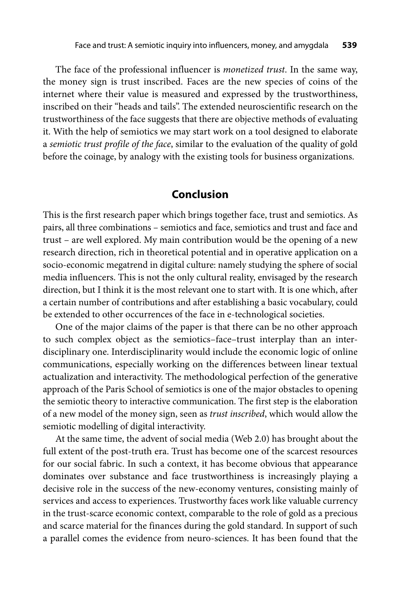The face of the professional influencer is *monetized trust*. In the same way, the money sign is trust inscribed. Faces are the new species of coins of the internet where their value is measured and expressed by the trustworthiness, inscribed on their "heads and tails". The extended neuroscientific research on the trustworthiness of the face suggests that there are objective methods of evaluating it. With the help of semiotics we may start work on a tool designed to elaborate a *semiotic trust profile of the face*, similar to the evaluation of the quality of gold before the coinage, by analogy with the existing tools for business organizations.

#### **Conclusion**

This is the first research paper which brings together face, trust and semiotics. As pairs, all three combinations – semiotics and face, semiotics and trust and face and trust – are well explored. My main contribution would be the opening of a new research direction, rich in theoretical potential and in operative application on a socio-economic megatrend in digital culture: namely studying the sphere of social media influencers. This is not the only cultural reality, envisaged by the research direction, but I think it is the most relevant one to start with. It is one which, after a certain number of contributions and after establishing a basic vocabulary, could be extended to other occurrences of the face in e-technological societies.

One of the major claims of the paper is that there can be no other approach to such complex object as the semiotics–face–trust interplay than an interdisciplinary one. Interdisciplinarity would include the economic logic of online communications, especially working on the differences between linear textual actualization and interactivity. The methodological perfection of the generative approach of the Paris School of semiotics is one of the major obstacles to opening the semiotic theory to interactive communication. The first step is the elaboration of a new model of the money sign, seen as *trust inscribed*, which would allow the semiotic modelling of digital interactivity.

At the same time, the advent of social media (Web 2.0) has brought about the full extent of the post-truth era. Trust has become one of the scarcest resources for our social fabric. In such a context, it has become obvious that appearance dominates over substance and face trustworthiness is increasingly playing a decisive role in the success of the new-economy ventures, consisting mainly of services and access to experiences. Trustworthy faces work like valuable currency in the trust-scarce economic context, comparable to the role of gold as a precious and scarce material for the finances during the gold standard. In support of such a parallel comes the evidence from neuro-sciences. It has been found that the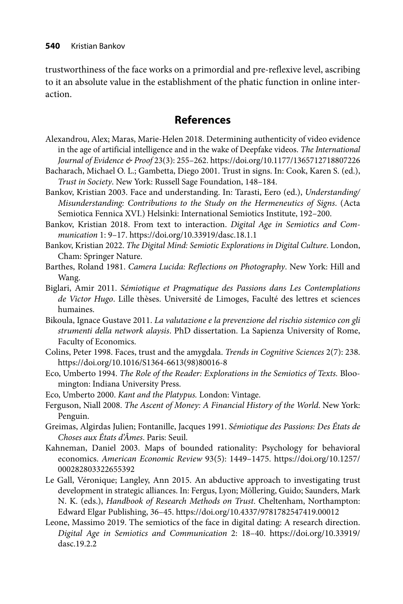trustworthiness of the face works on a primordial and pre-reflexive level, ascribing to it an absolute value in the establishment of the phatic function in online interaction.

# **References**

- Alexandrou, Alex; Maras, Marie-Helen 2018. Determining authenticity of video evidence in the age of artificial intelligence and in the wake of Deepfake videos. *The International Journal of Evidence & Proof* 23(3): 255–262. https://doi.org/10.1177/1365712718807226
- Bacharach, Michael O. L.; Gambetta, Diego 2001. Trust in signs. In: Cook, Karen S. (ed.), *Trust in Society*. New York: Russell Sage Foundation, 148–184.
- Bankov, Kristian 2003. Face and understanding. In: Tarasti, Eero (ed.), *Understanding/ Misunderstanding: Contributions to the Study on the Hermeneutics of Signs*. (Acta Semiotica Fennica XVI.) Helsinki: International Semiotics Institute, 192–200.
- Bankov, Kristian 2018. From text to interaction. *Digital Age in Semiotics and Communication* 1: 9–17. https://doi.org/10.33919/dasc.18.1.1
- Bankov, Kristian 2022. *The Digital Mind: Semiotic Explorations in Digital Culture*. London, Cham: Springer Nature.
- Barthes, Roland 1981. *Camera Lucida: Reflections on Photography*. New York: Hill and Wang.
- Biglari, Amir 2011. *Sémiotique et Pragmatique des Passions dans Les Contemplations de Victor Hugo*. Lille thèses. Université de Limoges, Faculté des lettres et sciences humaines.
- Bikoula, Ignace Gustave 2011. *La valutazione e la prevenzione del rischio sistemico con gli strumenti della network alaysis*. PhD dissertation. La Sapienza University of Rome, Faculty of Economics.
- Colins, Peter 1998. Faces, trust and the amygdala. *Trends in Cognitive Sciences* 2(7): 238. https://doi.org/10.1016/S1364-6613(98)80016-8
- Eco, Umberto 1994. *The Role of the Reader: Explorations in the Semiotics of Texts.* Bloomington: Indiana University Press.
- Eco, Umberto 2000. *Kant and the Platypus.* London: Vintage.
- Ferguson, Niall 2008. *The Ascent of Money: A Financial History of the World*. New York: Penguin.
- Greimas, Algirdas Julien; Fontanille, Jacques 1991. *Sémiotique des Passions: Des États de Choses aux États d'Âmes*. Paris: Seuil.
- Kahneman, Daniel 2003. Maps of bounded rationality: Psychology for behavioral economics. American Economic Review 93(5): 1449-1475. https://doi.org/10.1257/ 000282803322655392
- Le Gall, Véronique; Langley, Ann 2015. An abductive approach to investigating trust development in strategic alliances. In: Fergus, Lyon; Möllering, Guido; Saunders, Mark N. K. (eds.), *Handbook of Research Methods on Trust*. Cheltenham, Northampton: Edward Elgar Publishing, 36–45. https://doi.org/10.4337/9781782547419.00012
- Leone, Massimo 2019. The semiotics of the face in digital dating: A research direction. *[Digital Age in Semiotics and Communication](https://doi.org/10.33919/dasc.19.2.2)* 2: 18–40. https://doi.org/10.33919/ dasc.19.2.2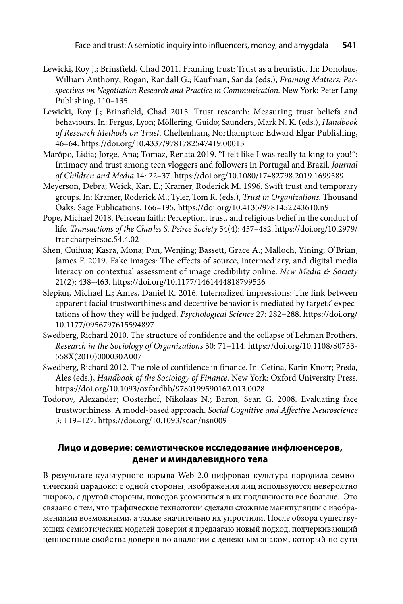- Lewicki, Roy J.; Brinsfield, Chad 2011. Framing trust: Trust as a heuristic. In: Donohue, William Anthony; Rogan, Randall G.; Kaufman, Sanda (eds.), *Framing Matters: Perspectives on Negotiation Research and Practice in Communication.* New York: Peter Lang Publishing, 110–135.
- Lewicki, Roy J.; Brinsfield, Chad 2015. Trust research: Measuring trust beliefs and behaviours. In: Fergus, Lyon; Möllering, Guido; Saunders, Mark N. K. (eds.), *Handbook of Research Methods on Trust*. Cheltenham, Northampton: Edward Elgar Publishing, 46–64. https://doi.org/10.4337/9781782547419.00013
- Marôpo, Lidia; Jorge, Ana; Tomaz, Renata 2019. "I felt like I was really talking to you!": Intimacy and trust among teen vloggers and followers in Portugal and Brazil. *Journal of Children and Media* 14: 22–37. https://doi.org/10.1080/17482798.2019.1699589
- Meyerson, Debra; Weick, Karl E.; Kramer, Roderick M. 1996. Swift trust and temporary groups. In: Kramer, Roderick M.; Tyler, Tom R. (eds.), *Trust in Organizations*. Thousand Oaks: Sage Publications, 166 –195. https://doi.org/10.4135/9781452243610.n9
- Pope, Michael 2018. Peircean faith: Perception, trust, and religious belief in the conduct of life*[. Transactions of the Charles S. Peirce Society](https://doi.org/10.2979/trancharpeirsoc.54.4.02)* 54(4): 457–482. https://doi.org/10.2979/ trancharpeirsoc.54.4.02
- Shen, Cuihua; Kasra, Mona; Pan, Wenjing; Bassett, Grace A.; Malloch, Yining; O'Brian, James F. 2019. Fake images: The effects of source, intermediary, and digital media literacy on contextual assessment of image credibility online. *New Media & Society* 21(2): 438–463. https://doi.org/10.1177/1461444818799526
- Slepian, Michael L.; Ames, Daniel R. 2016. Internalized impressions: The link between apparent facial trustworthiness and deceptive behavior is mediated by targets' expec[tations of how they will be judged.](https://doi.org/10.1177/0956797615594897) *Psychological Science* 27: 282–288. https://doi.org/ 10.1177/0956797615594897
- Swedberg, Richard 2010. The structure of confidence and the collapse of Lehman Brothers. *Research in the Sociology of Organizations* [30: 71–114. https://doi.org/10.1108/S0733-](https://doi.org/10.1108/S0733-558X(2010)000030A007) 558X(2010)000030A007
- Swedberg, Richard 2012. The role of confidence in finance. In: Cetina, Karin Knorr; Preda, Ales (eds.), *Handbook of the Sociology of Finance*. New York: Oxford University Press. https://doi.org/10.1093/oxfordhb/9780199590162.013.0028
- Todorov, Alexander; Oosterhof, Nikolaas N.; Baron, Sean G. 2008. Evaluating face trustworthiness: A model-based approach. *Social Cognitive and Affective Neuroscience* 3: 119–127. https://doi.org/10.1093/scan/nsn009

#### **Лицо и доверие: семиотическое исследование инфлюенсеров, денег и миндалевидного тела**

В результате культурного взрыва Web 2.0 цифровая культура породила семиотический парадокс: с одной стороны, изображения лиц используются невероятно широко, с другой стороны, поводов усомниться в их подлинности всё больше. Это связано с тем, что графические технологии сделали сложные манипуляции с изображениями возможными, а также значительно их упростили. После обзора существующих семиотических моделей доверия я предлагаю новый подход, подчеркивающий ценностные свойства доверия по аналогии с денежным знаком, который по сути